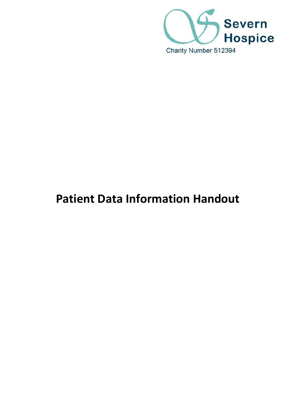

# **Patient Data Information Handout**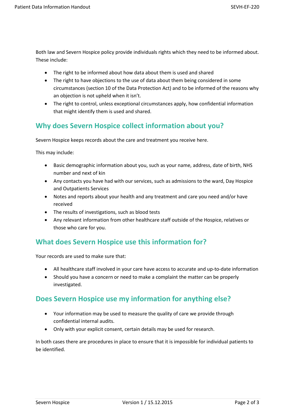Both law and Severn Hospice policy provide individuals rights which they need to be informed about. These include:

- The right to be informed about how data about them is used and shared
- The right to have objections to the use of data about them being considered in some circumstances (section 10 of the Data Protection Act) and to be informed of the reasons why an objection is not upheld when it isn't.
- The right to control, unless exceptional circumstances apply, how confidential information that might identify them is used and shared.

### **Why does Severn Hospice collect information about you?**

Severn Hospice keeps records about the care and treatment you receive here.

This may include:

- Basic demographic information about you, such as your name, address, date of birth, NHS number and next of kin
- Any contacts you have had with our services, such as admissions to the ward, Day Hospice and Outpatients Services
- Notes and reports about your health and any treatment and care you need and/or have received
- The results of investigations, such as blood tests
- Any relevant information from other healthcare staff outside of the Hospice, relatives or those who care for you.

#### **What does Severn Hospice use this information for?**

Your records are used to make sure that:

- All healthcare staff involved in your care have access to accurate and up-to-date information
- Should you have a concern or need to make a complaint the matter can be properly investigated.

#### **Does Severn Hospice use my information for anything else?**

- Your information may be used to measure the quality of care we provide through confidential internal audits.
- Only with your explicit consent, certain details may be used for research.

In both cases there are procedures in place to ensure that it is impossible for individual patients to be identified.